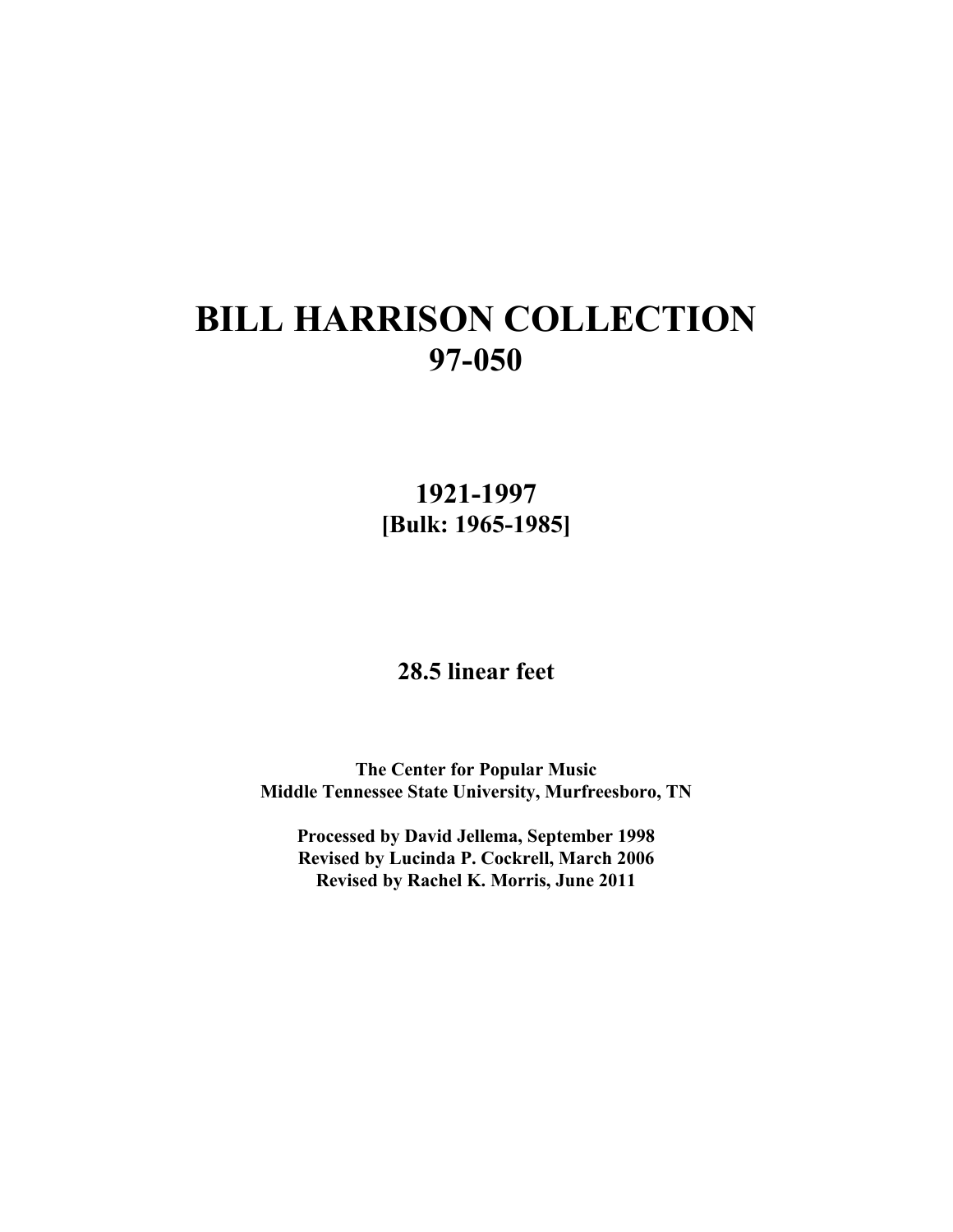**1921-1997 [Bulk: 1965-1985]**

**28.5 linear feet**

**The Center for Popular Music Middle Tennessee State University, Murfreesboro, TN**

**Processed by David Jellema, September 1998 Revised by Lucinda P. Cockrell, March 2006 Revised by Rachel K. Morris, June 2011**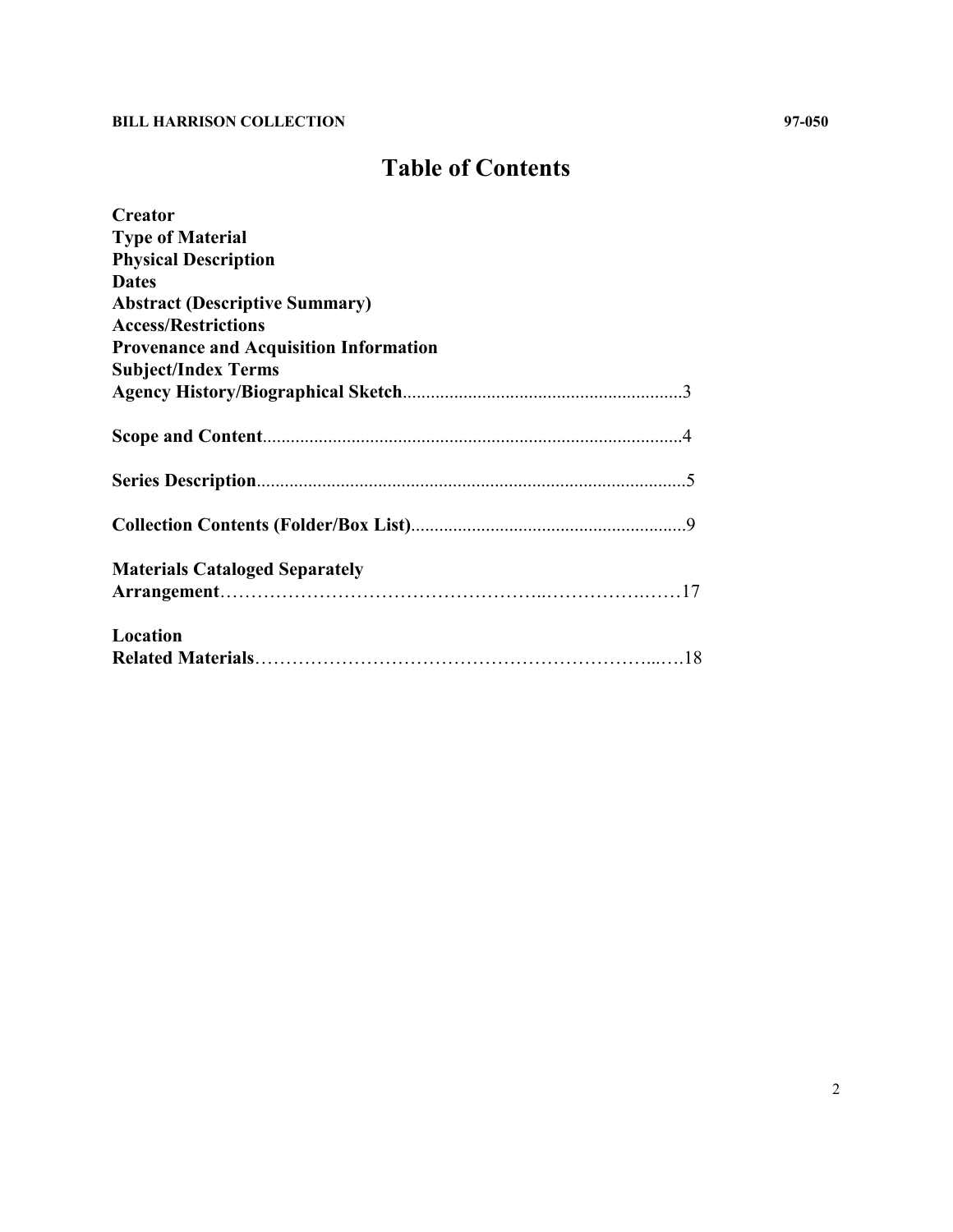## **Table of Contents**

| <b>Creator</b>                                |
|-----------------------------------------------|
| <b>Type of Material</b>                       |
| <b>Physical Description</b>                   |
| <b>Dates</b>                                  |
| <b>Abstract (Descriptive Summary)</b>         |
| <b>Access/Restrictions</b>                    |
| <b>Provenance and Acquisition Information</b> |
| <b>Subject/Index Terms</b>                    |
|                                               |
|                                               |
|                                               |
|                                               |
|                                               |
|                                               |
|                                               |
|                                               |
| <b>Materials Cataloged Separately</b>         |
|                                               |
| Location                                      |
|                                               |
|                                               |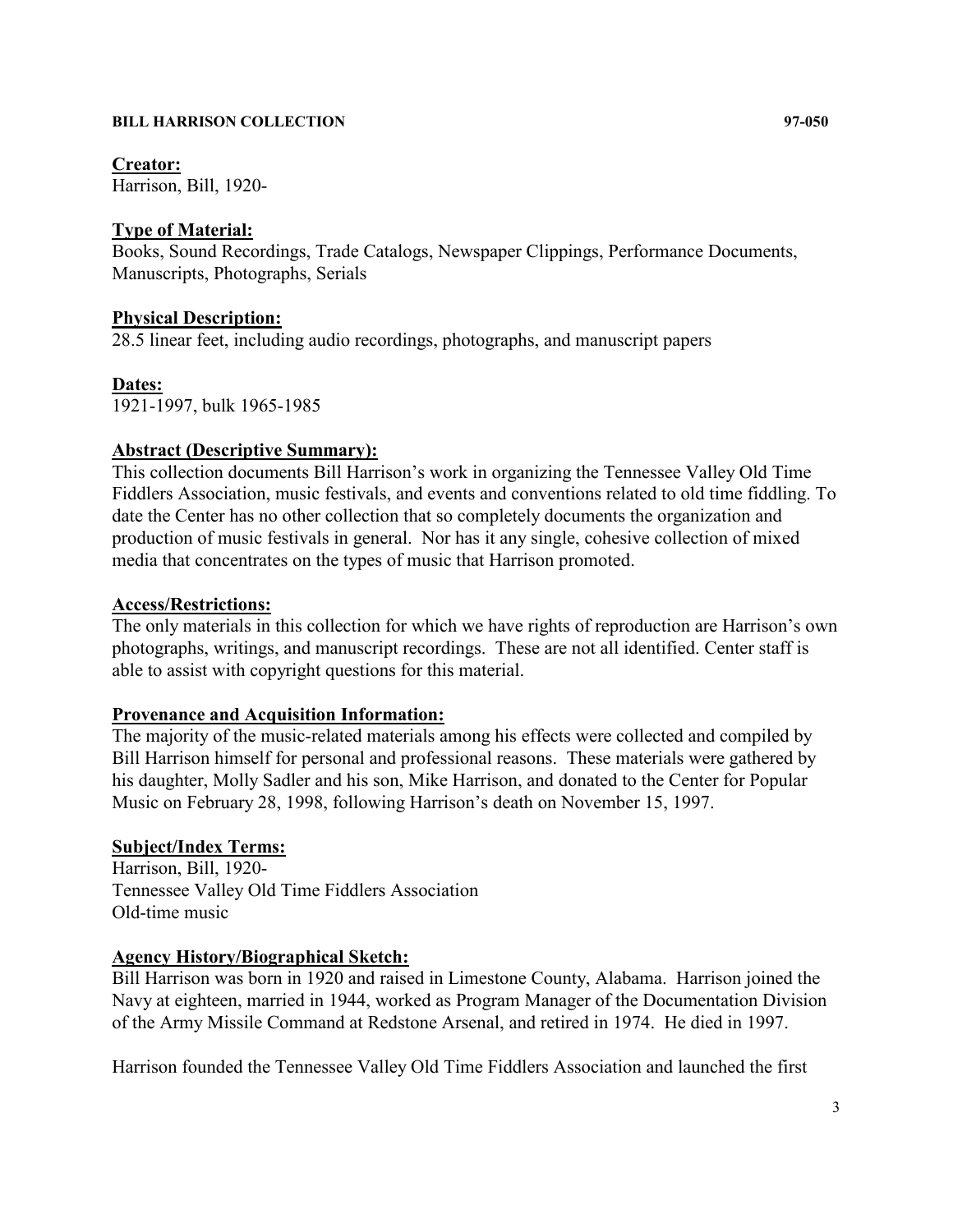## **Creator:**

Harrison, Bill, 1920-

## **Type of Material:**

Books, Sound Recordings, Trade Catalogs, Newspaper Clippings, Performance Documents, Manuscripts, Photographs, Serials

## **Physical Description:**

28.5 linear feet, including audio recordings, photographs, and manuscript papers

## **Dates:**

1921-1997, bulk 1965-1985

## **Abstract (Descriptive Summary):**

This collection documents Bill Harrison's work in organizing the Tennessee Valley Old Time Fiddlers Association, music festivals, and events and conventions related to old time fiddling. To date the Center has no other collection that so completely documents the organization and production of music festivals in general. Nor has it any single, cohesive collection of mixed media that concentrates on the types of music that Harrison promoted.

## **Access/Restrictions:**

The only materials in this collection for which we have rights of reproduction are Harrison's own photographs, writings, and manuscript recordings. These are not all identified. Center staff is able to assist with copyright questions for this material.

## **Provenance and Acquisition Information:**

The majority of the music-related materials among his effects were collected and compiled by Bill Harrison himself for personal and professional reasons. These materials were gathered by his daughter, Molly Sadler and his son, Mike Harrison, and donated to the Center for Popular Music on February 28, 1998, following Harrison's death on November 15, 1997.

## **Subject/Index Terms:**

Harrison, Bill, 1920- Tennessee Valley Old Time Fiddlers Association Old-time music

## **Agency History/Biographical Sketch:**

Bill Harrison was born in 1920 and raised in Limestone County, Alabama. Harrison joined the Navy at eighteen, married in 1944, worked as Program Manager of the Documentation Division of the Army Missile Command at Redstone Arsenal, and retired in 1974. He died in 1997.

Harrison founded the Tennessee Valley Old Time Fiddlers Association and launched the first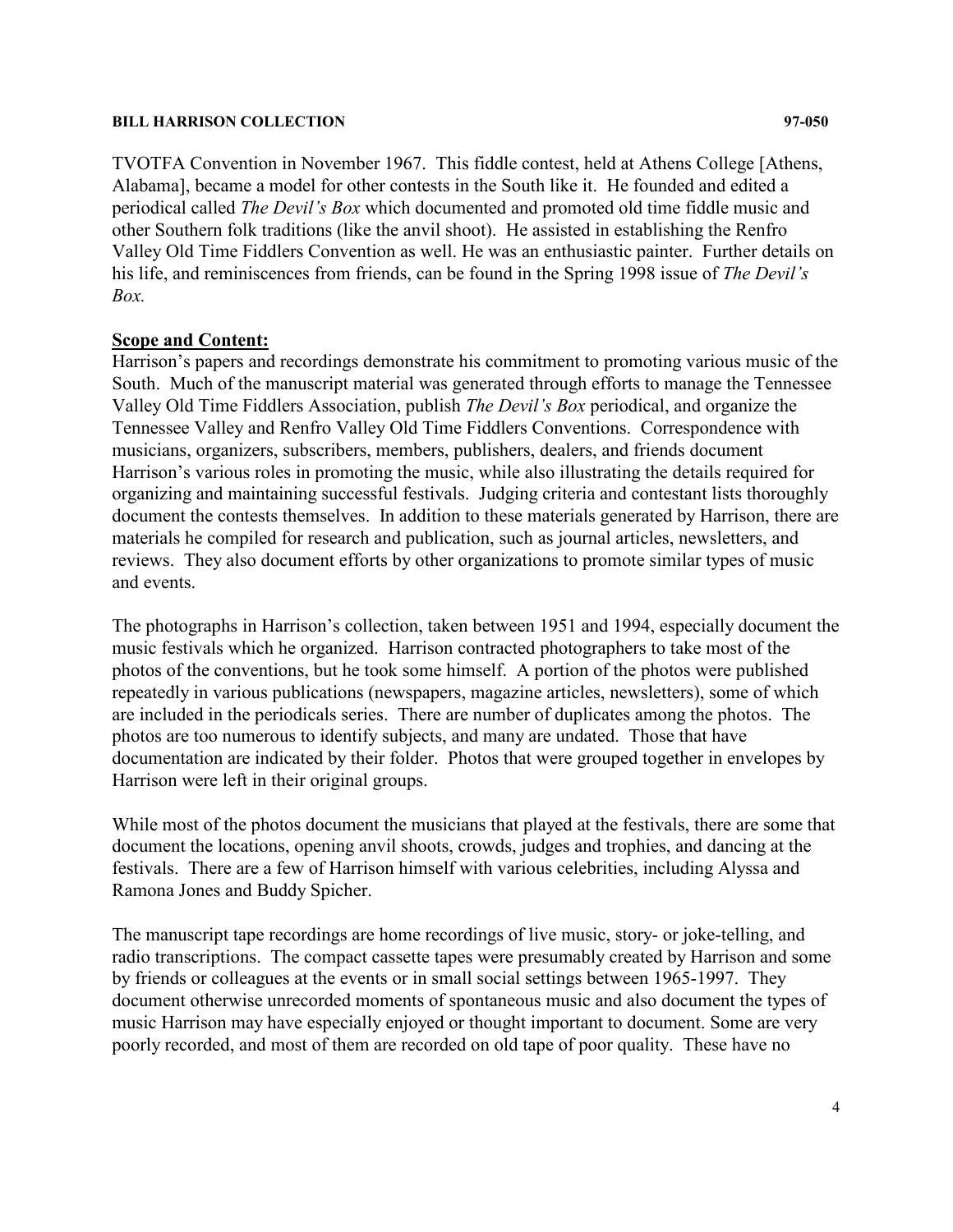TVOTFA Convention in November 1967. This fiddle contest, held at Athens College [Athens, Alabama], became a model for other contests in the South like it. He founded and edited a periodical called *The Devil's Box* which documented and promoted old time fiddle music and other Southern folk traditions (like the anvil shoot). He assisted in establishing the Renfro Valley Old Time Fiddlers Convention as well. He was an enthusiastic painter. Further details on his life, and reminiscences from friends, can be found in the Spring 1998 issue of *The Devil's Box.*

## **Scope and Content:**

Harrison's papers and recordings demonstrate his commitment to promoting various music of the South. Much of the manuscript material was generated through efforts to manage the Tennessee Valley Old Time Fiddlers Association, publish *The Devil's Box* periodical, and organize the Tennessee Valley and Renfro Valley Old Time Fiddlers Conventions. Correspondence with musicians, organizers, subscribers, members, publishers, dealers, and friends document Harrison's various roles in promoting the music, while also illustrating the details required for organizing and maintaining successful festivals. Judging criteria and contestant lists thoroughly document the contests themselves. In addition to these materials generated by Harrison, there are materials he compiled for research and publication, such as journal articles, newsletters, and reviews. They also document efforts by other organizations to promote similar types of music and events.

The photographs in Harrison's collection, taken between 1951 and 1994, especially document the music festivals which he organized. Harrison contracted photographers to take most of the photos of the conventions, but he took some himself. A portion of the photos were published repeatedly in various publications (newspapers, magazine articles, newsletters), some of which are included in the periodicals series. There are number of duplicates among the photos. The photos are too numerous to identify subjects, and many are undated. Those that have documentation are indicated by their folder. Photos that were grouped together in envelopes by Harrison were left in their original groups.

While most of the photos document the musicians that played at the festivals, there are some that document the locations, opening anvil shoots, crowds, judges and trophies, and dancing at the festivals. There are a few of Harrison himself with various celebrities, including Alyssa and Ramona Jones and Buddy Spicher.

The manuscript tape recordings are home recordings of live music, story- or joke-telling, and radio transcriptions. The compact cassette tapes were presumably created by Harrison and some by friends or colleagues at the events or in small social settings between 1965-1997. They document otherwise unrecorded moments of spontaneous music and also document the types of music Harrison may have especially enjoyed or thought important to document. Some are very poorly recorded, and most of them are recorded on old tape of poor quality. These have no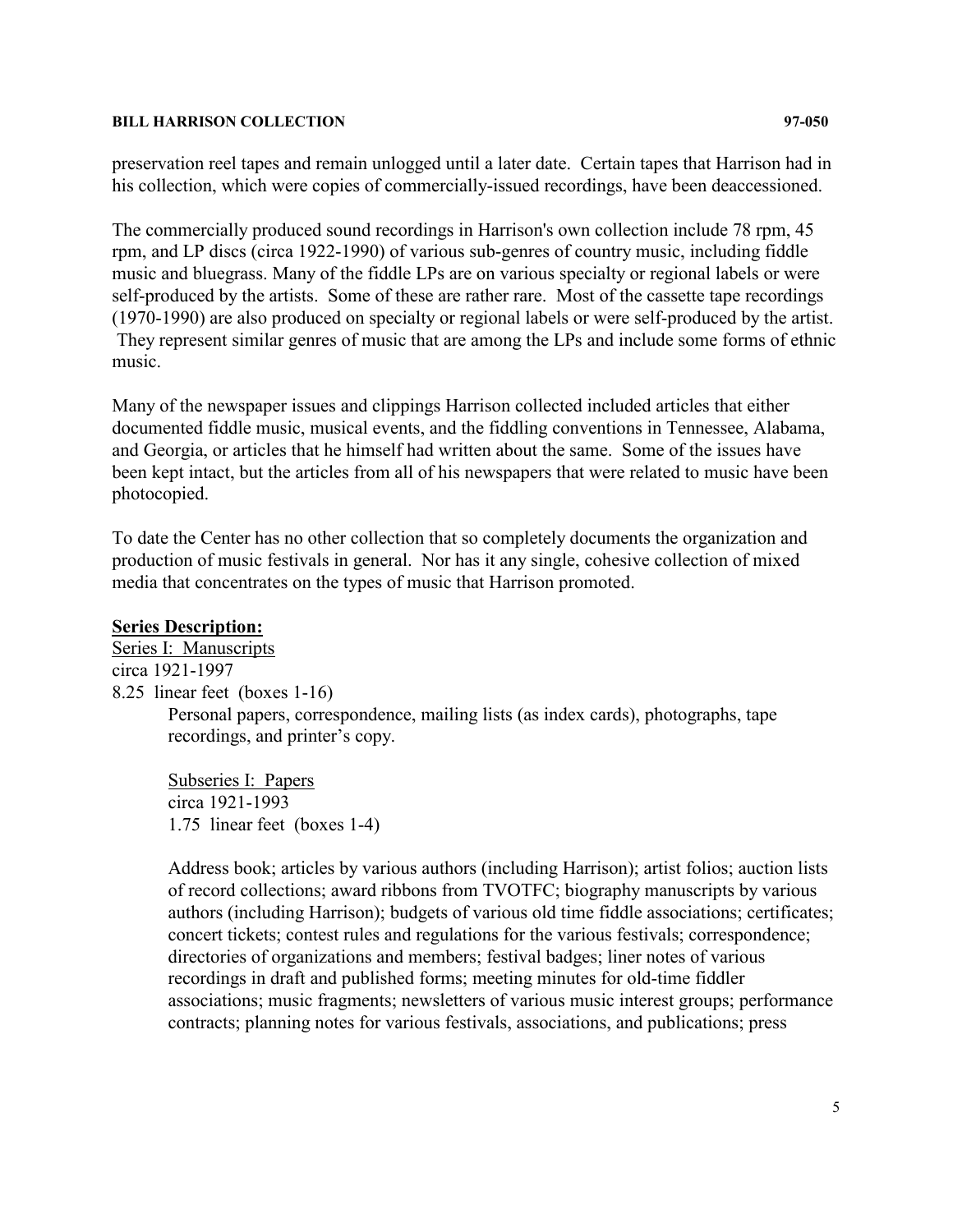preservation reel tapes and remain unlogged until a later date. Certain tapes that Harrison had in his collection, which were copies of commercially-issued recordings, have been deaccessioned.

The commercially produced sound recordings in Harrison's own collection include 78 rpm, 45 rpm, and LP discs (circa 1922-1990) of various sub-genres of country music, including fiddle music and bluegrass. Many of the fiddle LPs are on various specialty or regional labels or were self-produced by the artists. Some of these are rather rare. Most of the cassette tape recordings (1970-1990) are also produced on specialty or regional labels or were self-produced by the artist. They represent similar genres of music that are among the LPs and include some forms of ethnic music.

Many of the newspaper issues and clippings Harrison collected included articles that either documented fiddle music, musical events, and the fiddling conventions in Tennessee, Alabama, and Georgia, or articles that he himself had written about the same. Some of the issues have been kept intact, but the articles from all of his newspapers that were related to music have been photocopied.

To date the Center has no other collection that so completely documents the organization and production of music festivals in general. Nor has it any single, cohesive collection of mixed media that concentrates on the types of music that Harrison promoted.

## **Series Description:**

Series I: Manuscripts circa 1921-1997 8.25 linear feet (boxes 1-16) Personal papers, correspondence, mailing lists (as index cards), photographs, tape recordings, and printer's copy.

Subseries I: Papers circa 1921-1993 1.75 linear feet (boxes 1-4)

Address book; articles by various authors (including Harrison); artist folios; auction lists of record collections; award ribbons from TVOTFC; biography manuscripts by various authors (including Harrison); budgets of various old time fiddle associations; certificates; concert tickets; contest rules and regulations for the various festivals; correspondence; directories of organizations and members; festival badges; liner notes of various recordings in draft and published forms; meeting minutes for old-time fiddler associations; music fragments; newsletters of various music interest groups; performance contracts; planning notes for various festivals, associations, and publications; press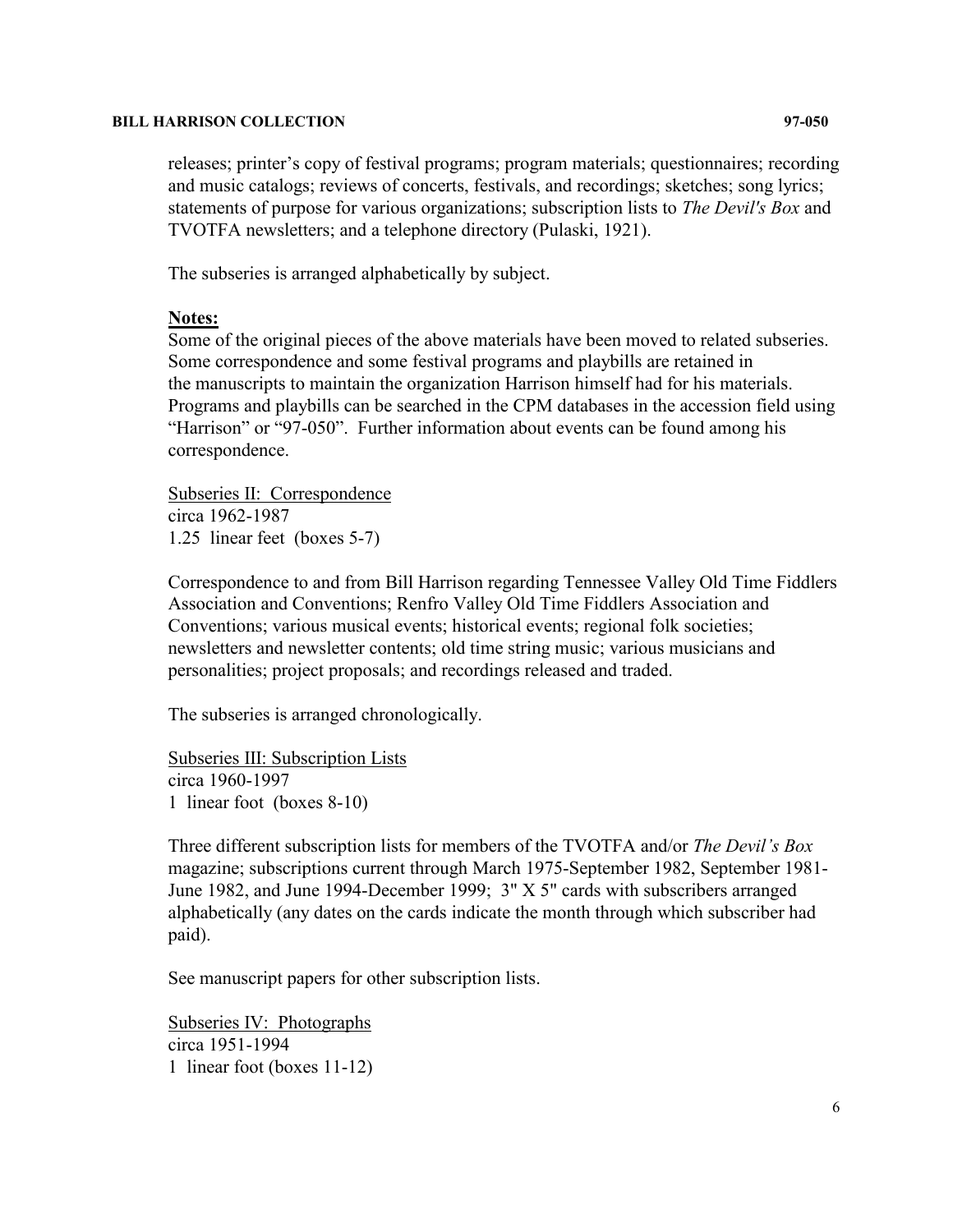releases; printer's copy of festival programs; program materials; questionnaires; recording and music catalogs; reviews of concerts, festivals, and recordings; sketches; song lyrics; statements of purpose for various organizations; subscription lists to *The Devil's Box* and TVOTFA newsletters; and a telephone directory (Pulaski, 1921).

The subseries is arranged alphabetically by subject.

## **Notes:**

Some of the original pieces of the above materials have been moved to related subseries. Some correspondence and some festival programs and playbills are retained in the manuscripts to maintain the organization Harrison himself had for his materials. Programs and playbills can be searched in the CPM databases in the accession field using "Harrison" or "97-050". Further information about events can be found among his correspondence.

Subseries II: Correspondence circa 1962-1987 1.25 linear feet (boxes 5-7)

Correspondence to and from Bill Harrison regarding Tennessee Valley Old Time Fiddlers Association and Conventions; Renfro Valley Old Time Fiddlers Association and Conventions; various musical events; historical events; regional folk societies; newsletters and newsletter contents; old time string music; various musicians and personalities; project proposals; and recordings released and traded.

The subseries is arranged chronologically.

Subseries III: Subscription Lists circa 1960-1997 1 linear foot (boxes 8-10)

Three different subscription lists for members of the TVOTFA and/or *The Devil's Box* magazine; subscriptions current through March 1975-September 1982, September 1981- June 1982, and June 1994-December 1999; 3" X 5" cards with subscribers arranged alphabetically (any dates on the cards indicate the month through which subscriber had paid).

See manuscript papers for other subscription lists.

Subseries IV: Photographs circa 1951-1994 1 linear foot (boxes 11-12)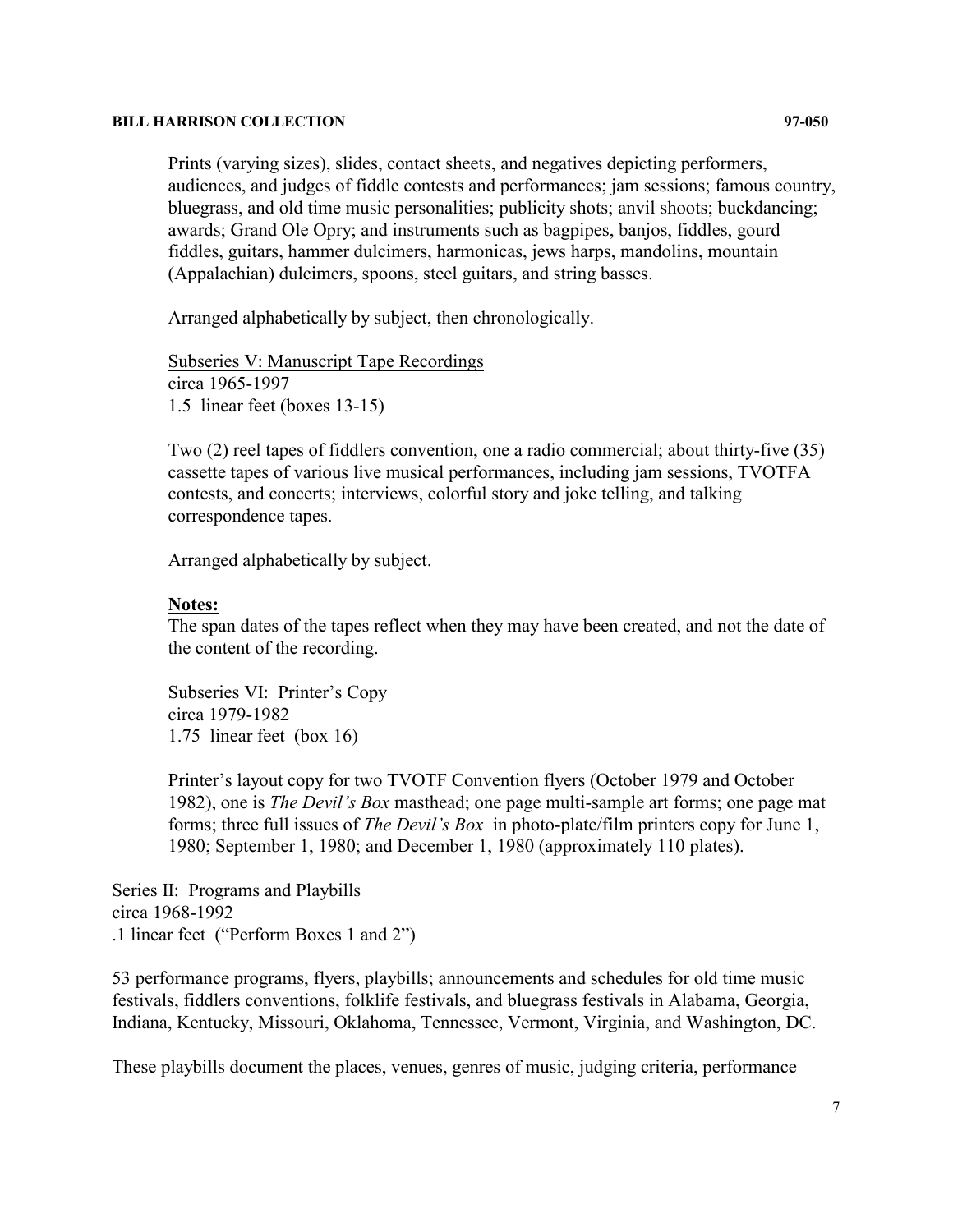Prints (varying sizes), slides, contact sheets, and negatives depicting performers, audiences, and judges of fiddle contests and performances; jam sessions; famous country, bluegrass, and old time music personalities; publicity shots; anvil shoots; buckdancing; awards; Grand Ole Opry; and instruments such as bagpipes, banjos, fiddles, gourd fiddles, guitars, hammer dulcimers, harmonicas, jews harps, mandolins, mountain (Appalachian) dulcimers, spoons, steel guitars, and string basses.

Arranged alphabetically by subject, then chronologically.

Subseries V: Manuscript Tape Recordings circa 1965-1997 1.5 linear feet (boxes 13-15)

Two (2) reel tapes of fiddlers convention, one a radio commercial; about thirty-five (35) cassette tapes of various live musical performances, including jam sessions, TVOTFA contests, and concerts; interviews, colorful story and joke telling, and talking correspondence tapes.

Arranged alphabetically by subject.

## **Notes:**

The span dates of the tapes reflect when they may have been created, and not the date of the content of the recording.

Subseries VI: Printer's Copy circa 1979-1982 1.75 linear feet (box 16)

Printer's layout copy for two TVOTF Convention flyers (October 1979 and October 1982), one is *The Devil's Box* masthead; one page multi-sample art forms; one page mat forms; three full issues of *The Devil's Box* in photo-plate/film printers copy for June 1, 1980; September 1, 1980; and December 1, 1980 (approximately 110 plates).

Series II: Programs and Playbills circa 1968-1992 .1 linear feet ("Perform Boxes 1 and 2")

53 performance programs, flyers, playbills; announcements and schedules for old time music festivals, fiddlers conventions, folklife festivals, and bluegrass festivals in Alabama, Georgia, Indiana, Kentucky, Missouri, Oklahoma, Tennessee, Vermont, Virginia, and Washington, DC.

These playbills document the places, venues, genres of music, judging criteria, performance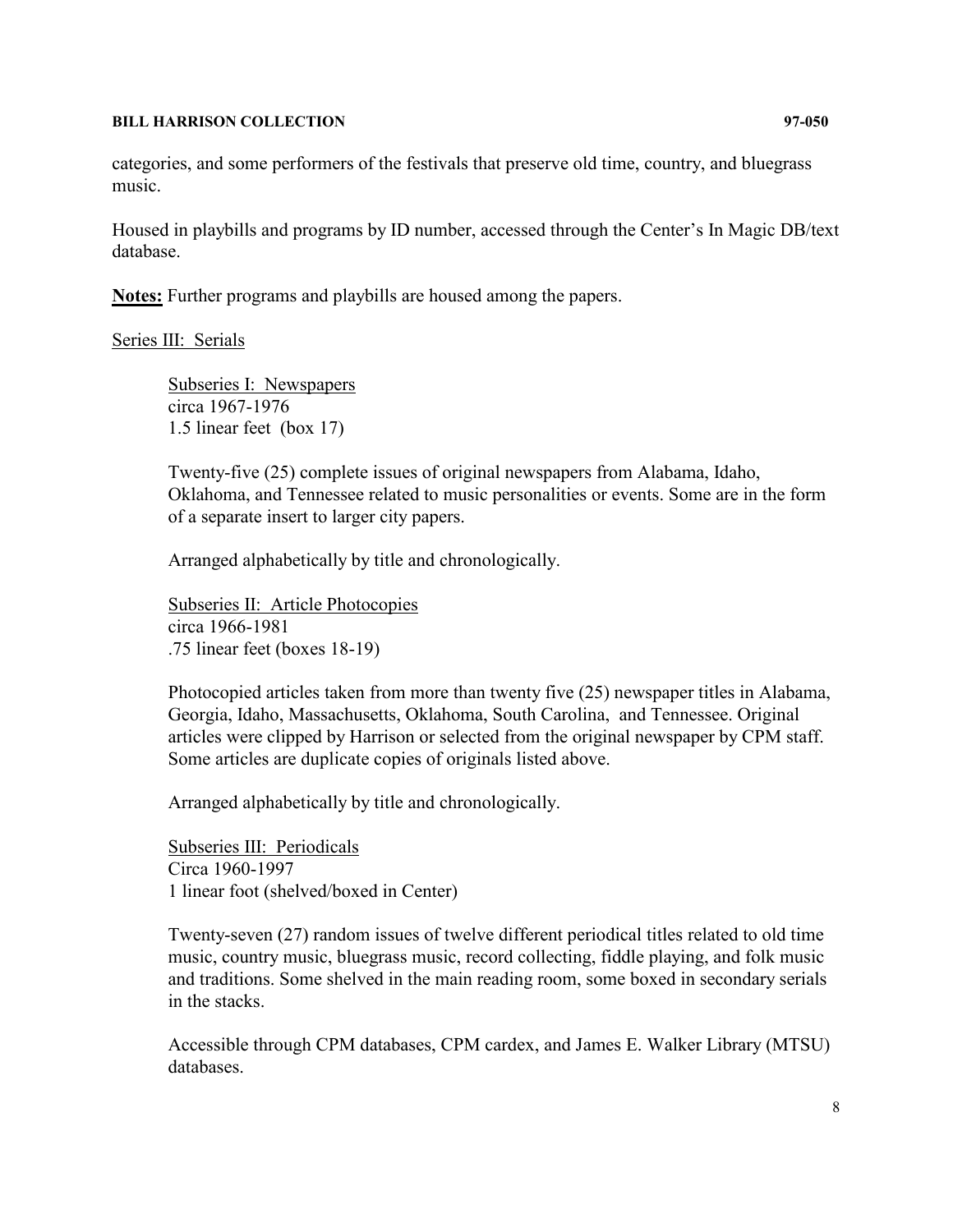categories, and some performers of the festivals that preserve old time, country, and bluegrass music.

Housed in playbills and programs by ID number, accessed through the Center's In Magic DB/text database.

**Notes:** Further programs and playbills are housed among the papers.

## Series III: Serials

Subseries I: Newspapers circa 1967-1976 1.5 linear feet (box 17)

Twenty-five (25) complete issues of original newspapers from Alabama, Idaho, Oklahoma, and Tennessee related to music personalities or events. Some are in the form of a separate insert to larger city papers.

Arranged alphabetically by title and chronologically.

Subseries II: Article Photocopies circa 1966-1981 .75 linear feet (boxes 18-19)

Photocopied articles taken from more than twenty five (25) newspaper titles in Alabama, Georgia, Idaho, Massachusetts, Oklahoma, South Carolina, and Tennessee. Original articles were clipped by Harrison or selected from the original newspaper by CPM staff. Some articles are duplicate copies of originals listed above.

Arranged alphabetically by title and chronologically.

Subseries III: Periodicals Circa 1960-1997 1 linear foot (shelved/boxed in Center)

Twenty-seven (27) random issues of twelve different periodical titles related to old time music, country music, bluegrass music, record collecting, fiddle playing, and folk music and traditions. Some shelved in the main reading room, some boxed in secondary serials in the stacks.

Accessible through CPM databases, CPM cardex, and James E. Walker Library (MTSU) databases.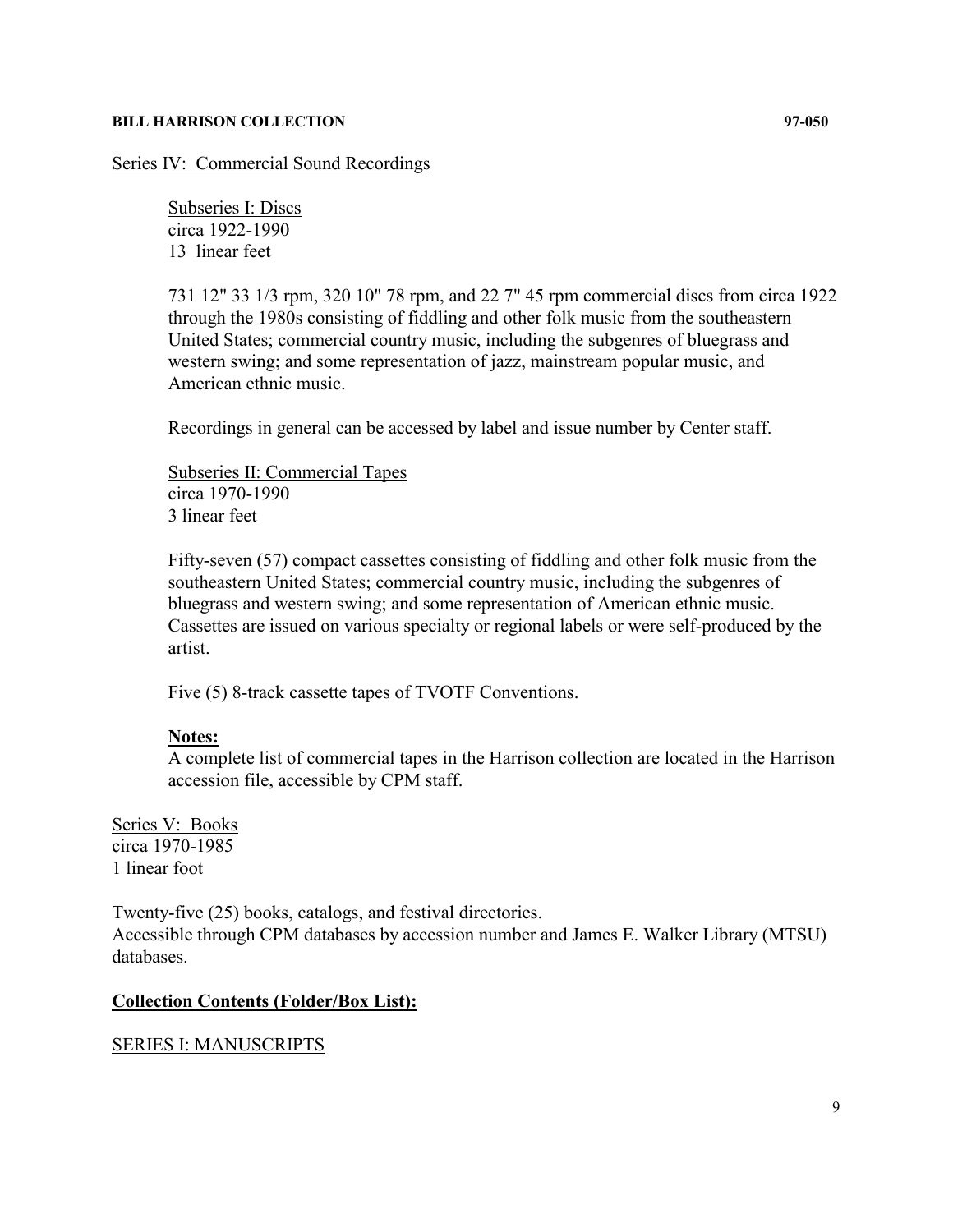Series IV: Commercial Sound Recordings

Subseries I: Discs circa 1922-1990 13 linear feet

731 12" 33 1/3 rpm, 320 10" 78 rpm, and 22 7" 45 rpm commercial discs from circa 1922 through the 1980s consisting of fiddling and other folk music from the southeastern United States; commercial country music, including the subgenres of bluegrass and western swing; and some representation of jazz, mainstream popular music, and American ethnic music.

Recordings in general can be accessed by label and issue number by Center staff.

Subseries II: Commercial Tapes circa 1970-1990 3 linear feet

Fifty-seven (57) compact cassettes consisting of fiddling and other folk music from the southeastern United States; commercial country music, including the subgenres of bluegrass and western swing; and some representation of American ethnic music. Cassettes are issued on various specialty or regional labels or were self-produced by the artist.

Five (5) 8-track cassette tapes of TVOTF Conventions.

## **Notes:**

A complete list of commercial tapes in the Harrison collection are located in the Harrison accession file, accessible by CPM staff.

Series V: Books circa 1970-1985 1 linear foot

Twenty-five (25) books, catalogs, and festival directories. Accessible through CPM databases by accession number and James E. Walker Library (MTSU) databases.

## **Collection Contents (Folder/Box List):**

## SERIES I: MANUSCRIPTS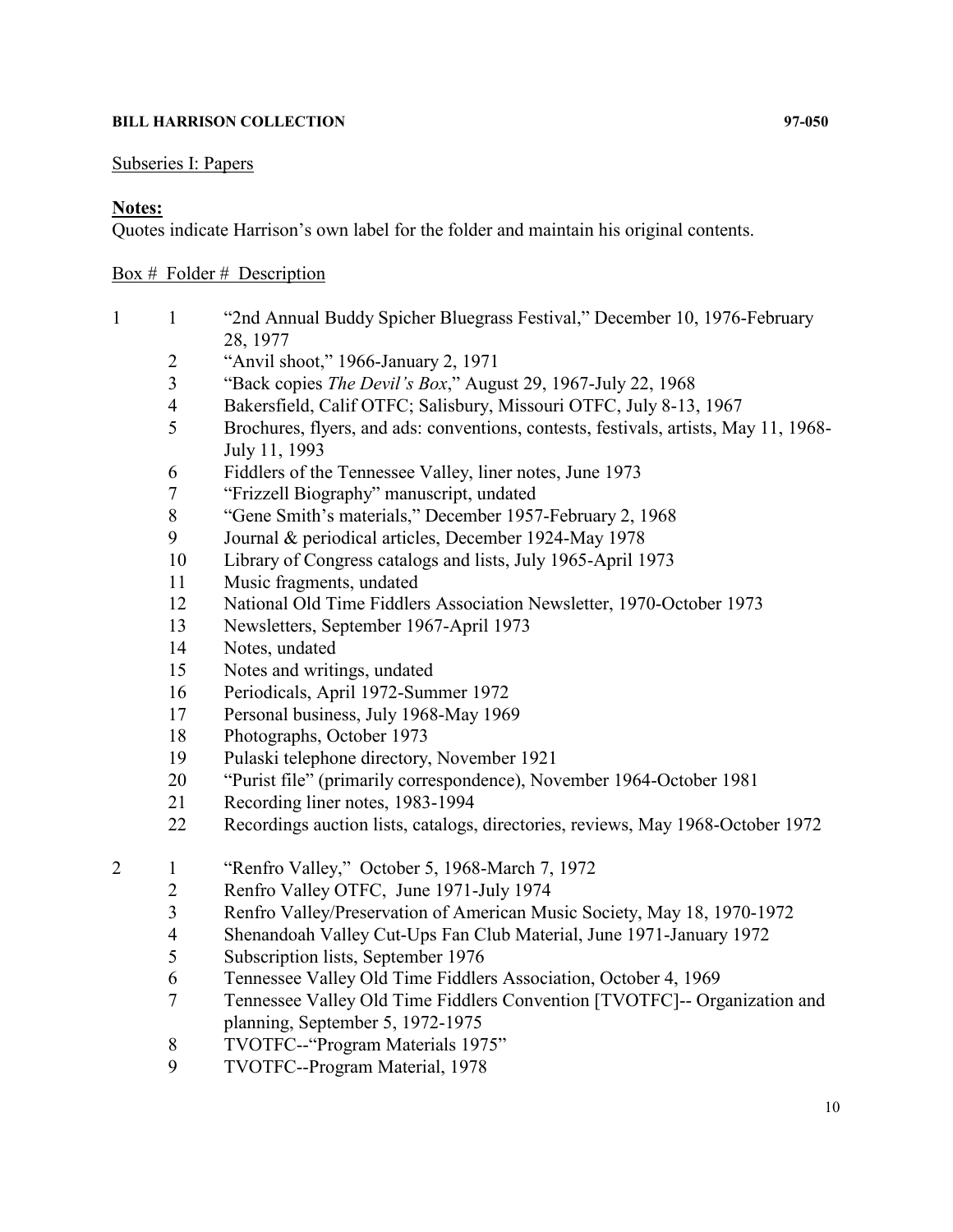## Subseries I: Papers

## **Notes:**

Quotes indicate Harrison's own label for the folder and maintain his original contents.

## Box  $#$  Folder  $#$  Description

- 1 "2nd Annual Buddy Spicher Bluegrass Festival," December 10, 1976-February 28, 1977
	- "Anvil shoot," 1966-January 2, 1971
	- "Back copies *The Devil's Box*," August 29, 1967-July 22, 1968
	- Bakersfield, Calif OTFC; Salisbury, Missouri OTFC, July 8-13, 1967
	- Brochures, flyers, and ads: conventions, contests, festivals, artists, May 11, 1968- July 11, 1993
	- Fiddlers of the Tennessee Valley, liner notes, June 1973
	- "Frizzell Biography" manuscript, undated
	- "Gene Smith's materials," December 1957-February 2, 1968
	- Journal & periodical articles, December 1924-May 1978
	- Library of Congress catalogs and lists, July 1965-April 1973
	- Music fragments, undated
	- National Old Time Fiddlers Association Newsletter, 1970-October 1973
	- Newsletters, September 1967-April 1973
	- Notes, undated
	- Notes and writings, undated
	- Periodicals, April 1972-Summer 1972
	- Personal business, July 1968-May 1969
	- Photographs, October 1973
	- Pulaski telephone directory, November 1921
	- "Purist file" (primarily correspondence), November 1964-October 1981
	- Recording liner notes, 1983-1994
	- Recordings auction lists, catalogs, directories, reviews, May 1968-October 1972
- 1 "Renfro Valley," October 5, 1968-March 7, 1972
	- Renfro Valley OTFC, June 1971-July 1974
	- Renfro Valley/Preservation of American Music Society, May 18, 1970-1972
	- Shenandoah Valley Cut-Ups Fan Club Material, June 1971-January 1972
	- Subscription lists, September 1976
	- Tennessee Valley Old Time Fiddlers Association, October 4, 1969
	- Tennessee Valley Old Time Fiddlers Convention [TVOTFC]-- Organization and planning, September 5, 1972-1975
	- TVOTFC--"Program Materials 1975"
	- TVOTFC--Program Material, 1978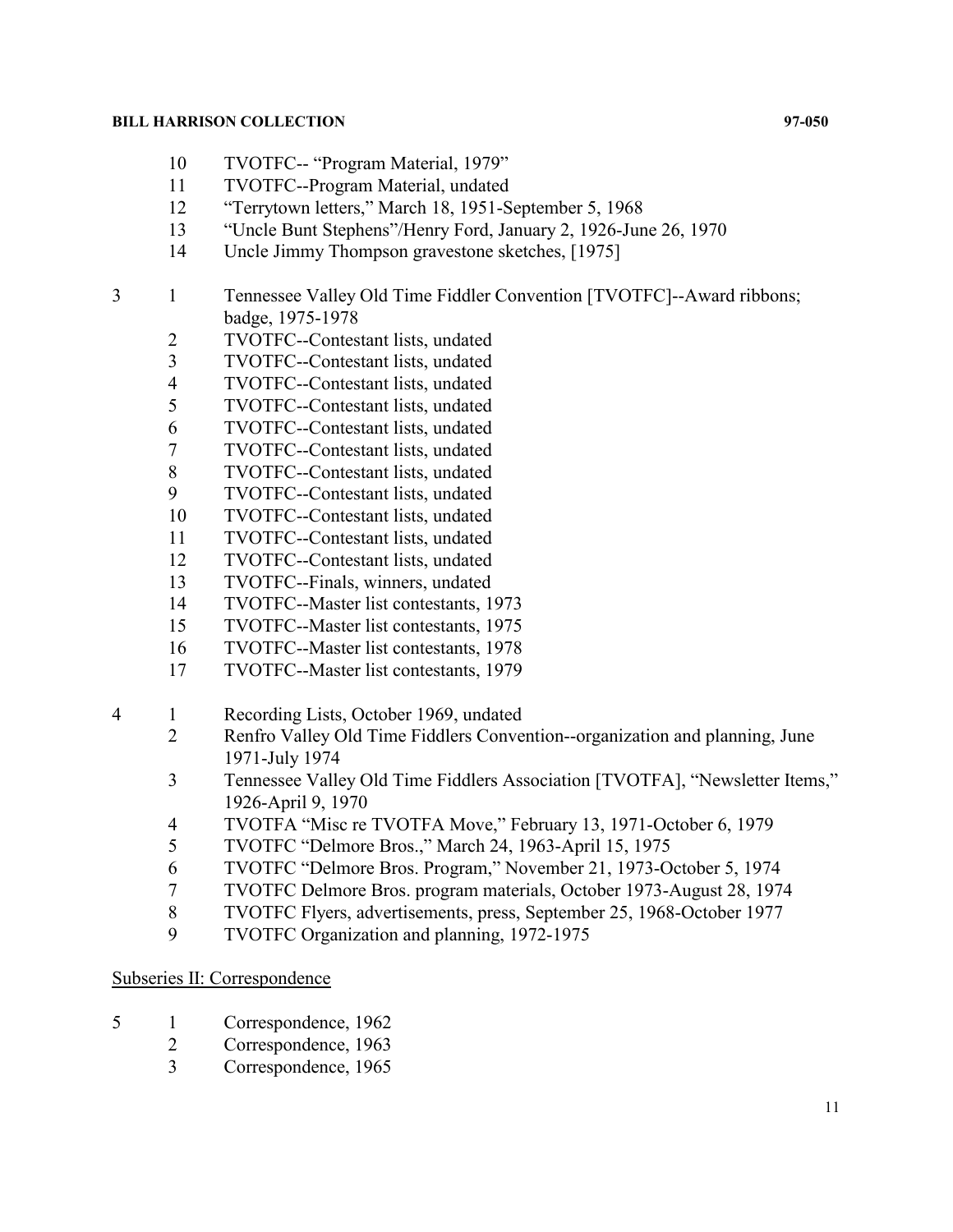- TVOTFC-- "Program Material, 1979"
- TVOTFC--Program Material, undated
- "Terrytown letters," March 18, 1951-September 5, 1968
- "Uncle Bunt Stephens"/Henry Ford, January 2, 1926-June 26, 1970
- Uncle Jimmy Thompson gravestone sketches, [1975]
- 1 Tennessee Valley Old Time Fiddler Convention [TVOTFC]--Award ribbons; badge, 1975-1978
	- 2 TVOTFC--Contestant lists, undated<br>3 TVOTFC--Contestant lists, undated
	- TVOTFC--Contestant lists, undated
	- TVOTFC--Contestant lists, undated
	- TVOTFC--Contestant lists, undated
	- TVOTFC--Contestant lists, undated
	- TVOTFC--Contestant lists, undated
	- TVOTFC--Contestant lists, undated
	- TVOTFC--Contestant lists, undated
	- TVOTFC--Contestant lists, undated
	- TVOTFC--Contestant lists, undated
	- TVOTFC--Contestant lists, undated
	- TVOTFC--Finals, winners, undated
	- TVOTFC--Master list contestants, 1973
	- TVOTFC--Master list contestants, 1975
	- TVOTFC--Master list contestants, 1978
	- TVOTFC--Master list contestants, 1979
- 1 Recording Lists, October 1969, undated
	- Renfro Valley Old Time Fiddlers Convention--organization and planning, June 1971-July 1974
	- Tennessee Valley Old Time Fiddlers Association [TVOTFA], "Newsletter Items," 1926-April 9, 1970
	- TVOTFA "Misc re TVOTFA Move," February 13, 1971-October 6, 1979
	- TVOTFC "Delmore Bros.," March 24, 1963-April 15, 1975
	- TVOTFC "Delmore Bros. Program," November 21, 1973-October 5, 1974
	- TVOTFC Delmore Bros. program materials, October 1973-August 28, 1974
	- TVOTFC Flyers, advertisements, press, September 25, 1968-October 1977
	- TVOTFC Organization and planning, 1972-1975

## Subseries II: Correspondence

- 1 Correspondence, 1962
	- Correspondence, 1963
		- Correspondence, 1965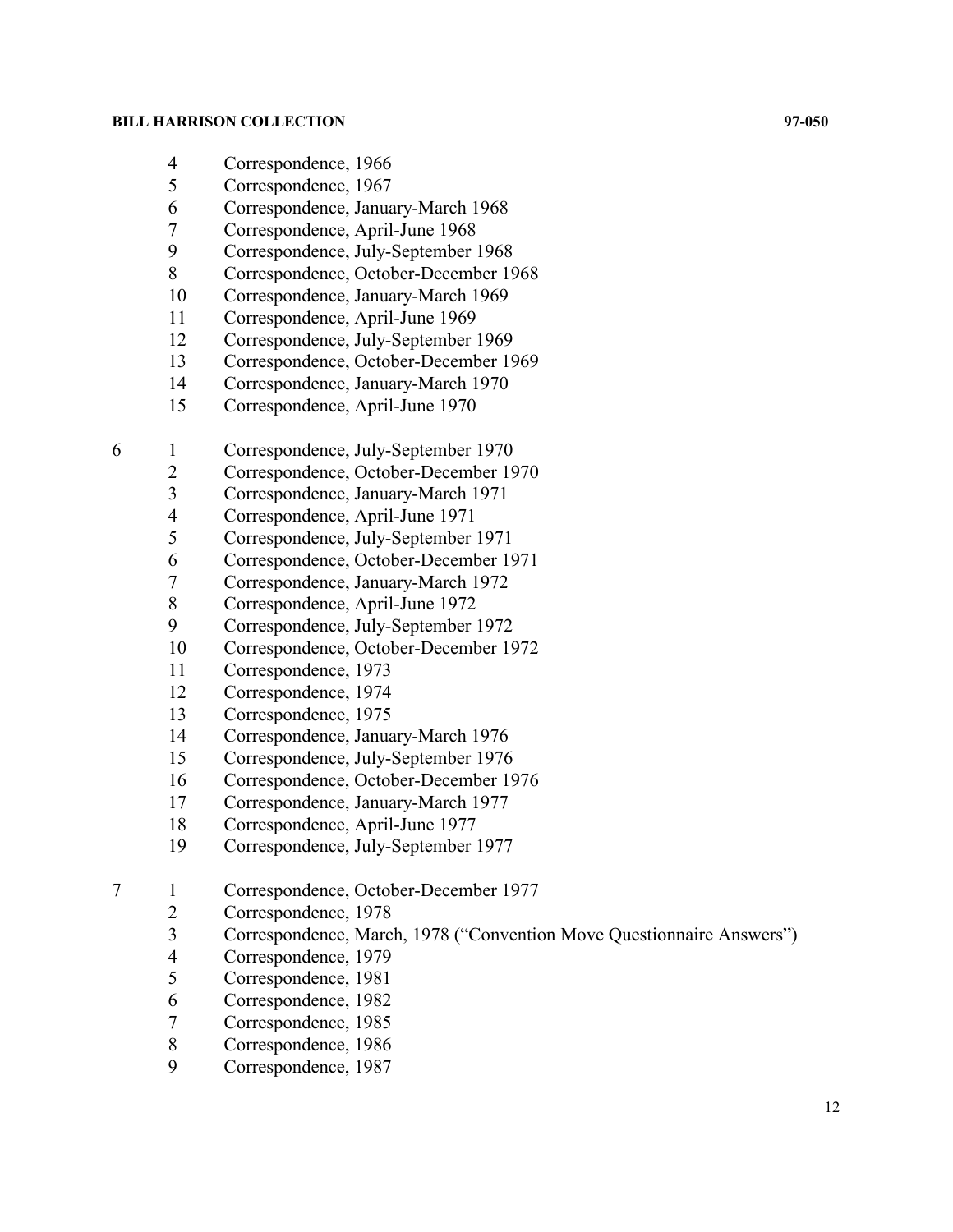- 4 Correspondence, 1966<br>5 Correspondence, 1967
- Correspondence, 1967
- Correspondence, January-March 1968
- Correspondence, April-June 1968
- Correspondence, July-September 1968
- Correspondence, October-December 1968
- Correspondence, January-March 1969
- 11 Correspondence, April-June 1969
- Correspondence, July-September 1969
- Correspondence, October-December 1969
- Correspondence, January-March 1970
- Correspondence, April-June 1970
- 1 Correspondence, July-September 1970
	- Correspondence, October-December 1970
	- Correspondence, January-March 1971
	- Correspondence, April-June 1971
	- Correspondence, July-September 1971
	- Correspondence, October-December 1971
	- Correspondence, January-March 1972
	- Correspondence, April-June 1972
	- Correspondence, July-September 1972
	- Correspondence, October-December 1972
	- Correspondence, 1973
	- Correspondence, 1974
	- Correspondence, 1975
	- Correspondence, January-March 1976
	- Correspondence, July-September 1976
	- Correspondence, October-December 1976
	- Correspondence, January-March 1977
	- Correspondence, April-June 1977
	- Correspondence, July-September 1977
- 7 1 Correspondence, October-December 1977<br>2 Correspondence, 1978
	- 2 Correspondence, 1978<br>3 Correspondence, Marc
	- Correspondence, March, 1978 ("Convention Move Questionnaire Answers")
	- Correspondence, 1979
	- Correspondence, 1981
	- Correspondence, 1982
	- Correspondence, 1985
	- Correspondence, 1986
	- Correspondence, 1987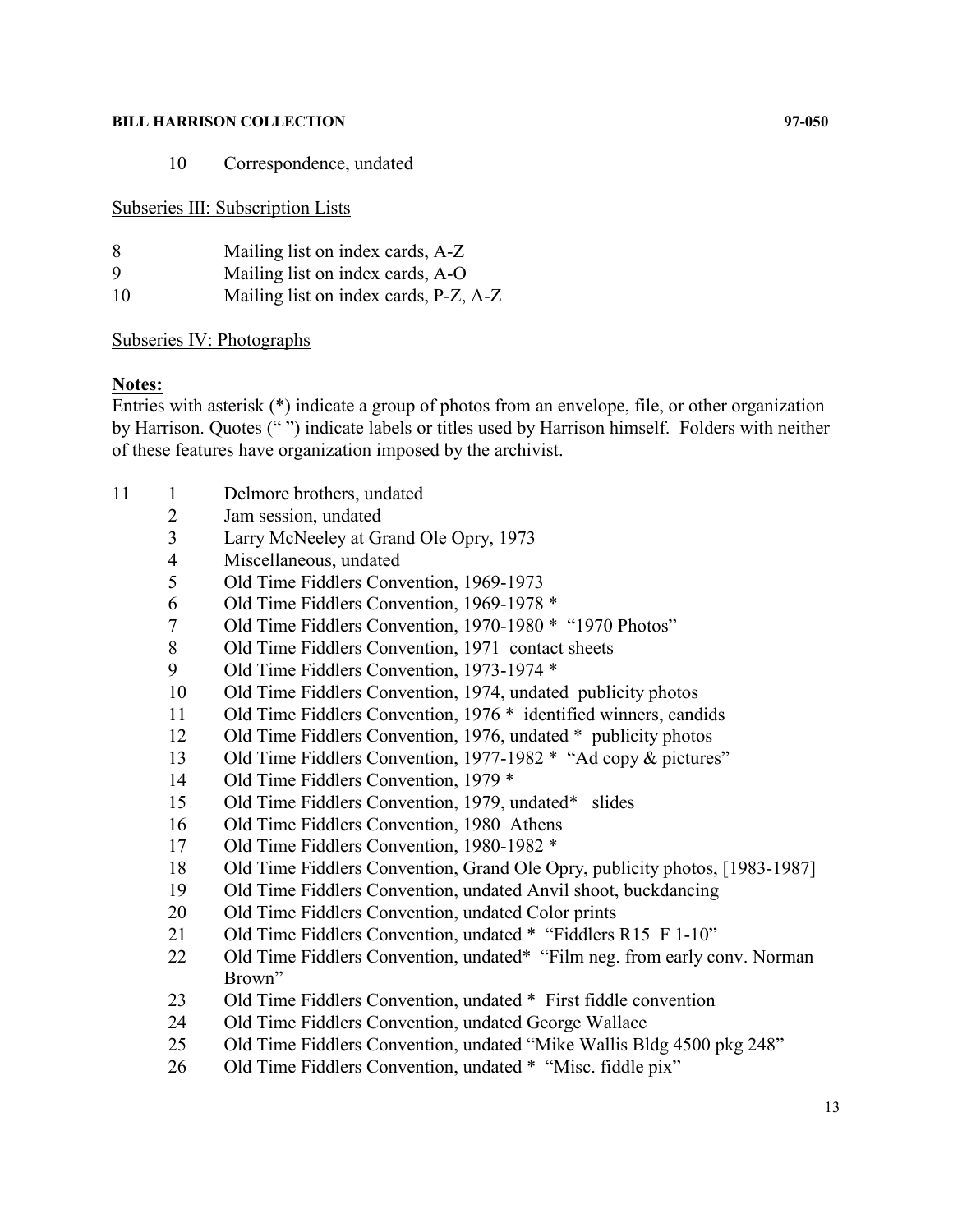Correspondence, undated

Subseries III: Subscription Lists

| 8  | Mailing list on index cards, A-Z      |
|----|---------------------------------------|
| 9  | Mailing list on index cards, A-O      |
| 10 | Mailing list on index cards, P-Z, A-Z |

## Subseries IV: Photographs

## **Notes:**

Entries with asterisk (\*) indicate a group of photos from an envelope, file, or other organization by Harrison. Quotes (" ") indicate labels or titles used by Harrison himself. Folders with neither of these features have organization imposed by the archivist.

- 11 1 Delmore brothers, undated
	- Jam session, undated
	- Larry McNeeley at Grand Ole Opry, 1973
	- Miscellaneous, undated
	- Old Time Fiddlers Convention, 1969-1973
	- Old Time Fiddlers Convention, 1969-1978 \*
	- Old Time Fiddlers Convention, 1970-1980 \* "1970 Photos"
	- Old Time Fiddlers Convention, 1971 contact sheets
	- 9 Old Time Fiddlers Convention, 1973-1974 \*
	- Old Time Fiddlers Convention, 1974, undated publicity photos
	- Old Time Fiddlers Convention, 1976 \* identified winners, candids
	- Old Time Fiddlers Convention, 1976, undated \* publicity photos
	- Old Time Fiddlers Convention, 1977-1982 \* "Ad copy & pictures"
	- Old Time Fiddlers Convention, 1979 \*
	- Old Time Fiddlers Convention, 1979, undated\* slides
	- Old Time Fiddlers Convention, 1980 Athens
	- Old Time Fiddlers Convention, 1980-1982 \*
	- Old Time Fiddlers Convention, Grand Ole Opry, publicity photos, [1983-1987]
	- Old Time Fiddlers Convention, undated Anvil shoot, buckdancing
	- 20 Old Time Fiddlers Convention, undated Color prints
	- 21 Old Time Fiddlers Convention, undated \* "Fiddlers R15 F 1-10"
	- 22 Old Time Fiddlers Convention, undated\* "Film neg. from early conv. Norman Brown"
	- 23 Old Time Fiddlers Convention, undated \* First fiddle convention
	- Old Time Fiddlers Convention, undated George Wallace
	- Old Time Fiddlers Convention, undated "Mike Wallis Bldg 4500 pkg 248"
	- 26 Old Time Fiddlers Convention, undated \* "Misc. fiddle pix"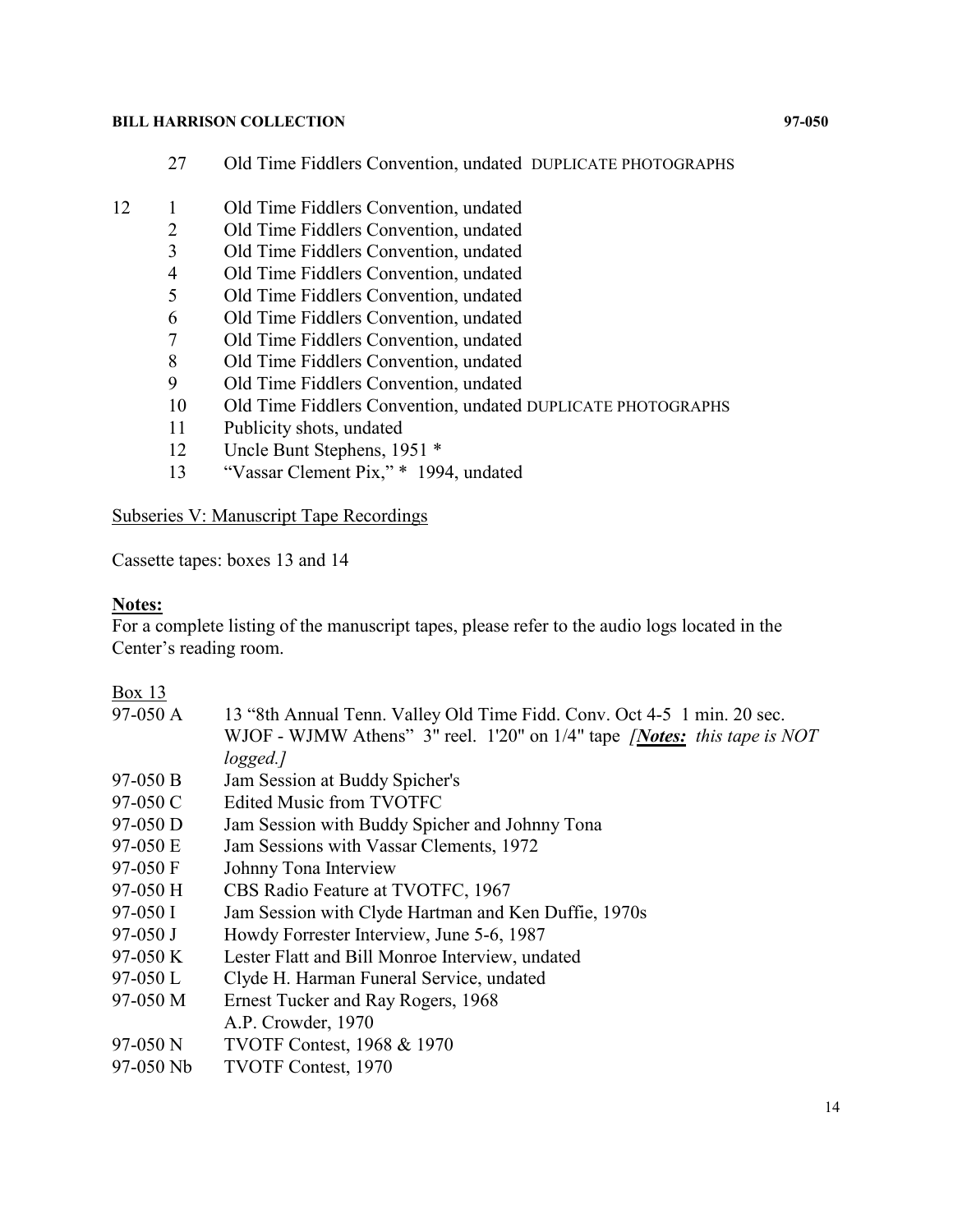- 27 Old Time Fiddlers Convention, undated DUPLICATE PHOTOGRAPHS
- 12 1 Old Time Fiddlers Convention, undated
	- 2 Old Time Fiddlers Convention, undated
	- 3 Old Time Fiddlers Convention, undated
	- 4 Old Time Fiddlers Convention, undated
	- 5 Old Time Fiddlers Convention, undated
	- 6 Old Time Fiddlers Convention, undated
	-
	- 7 Old Time Fiddlers Convention, undated<br>8 Old Time Fiddlers Convention, undated 8 Old Time Fiddlers Convention, undated
	- 9 Old Time Fiddlers Convention, undated
	- 10 Old Time Fiddlers Convention, undated DUPLICATE PHOTOGRAPHS
	- 11 Publicity shots, undated
	- 12 Uncle Bunt Stephens, 1951 \*
	- 13 "Vassar Clement Pix," \* 1994, undated

Subseries V: Manuscript Tape Recordings

Cassette tapes: boxes 13 and 14

## **Notes:**

For a complete listing of the manuscript tapes, please refer to the audio logs located in the Center's reading room.

## Box 13

| $97-050$ A  | 13 "8th Annual Tenn. Valley Old Time Fidd. Conv. Oct 4-5 1 min. 20 sec.            |
|-------------|------------------------------------------------------------------------------------|
|             | WJOF - WJMW Athens" $3''$ reel. 1'20" on 1/4" tape <i>[Notes: this tape is NOT</i> |
|             | logged.]                                                                           |
| $97-050 B$  | Jam Session at Buddy Spicher's                                                     |
| 97-050 $C$  | <b>Edited Music from TVOTFC</b>                                                    |
| $97-050$ D  | Jam Session with Buddy Spicher and Johnny Tona                                     |
| 97-050 E    | Jam Sessions with Vassar Clements, 1972                                            |
| 97-050 F    | Johnny Tona Interview                                                              |
| $97-050$ H  | CBS Radio Feature at TVOTFC, 1967                                                  |
| $97-050$ I  | Jam Session with Clyde Hartman and Ken Duffie, 1970s                               |
| $97-050$ J  | Howdy Forrester Interview, June 5-6, 1987                                          |
| $97-050K$   | Lester Flatt and Bill Monroe Interview, undated                                    |
| $97-050$ L  | Clyde H. Harman Funeral Service, undated                                           |
| 97-050 M    | Ernest Tucker and Ray Rogers, 1968                                                 |
|             | A.P. Crowder, 1970                                                                 |
| $97-050$ N  | <b>TVOTF Contest, 1968 &amp; 1970</b>                                              |
| $97-050$ Nb | <b>TVOTF Contest, 1970</b>                                                         |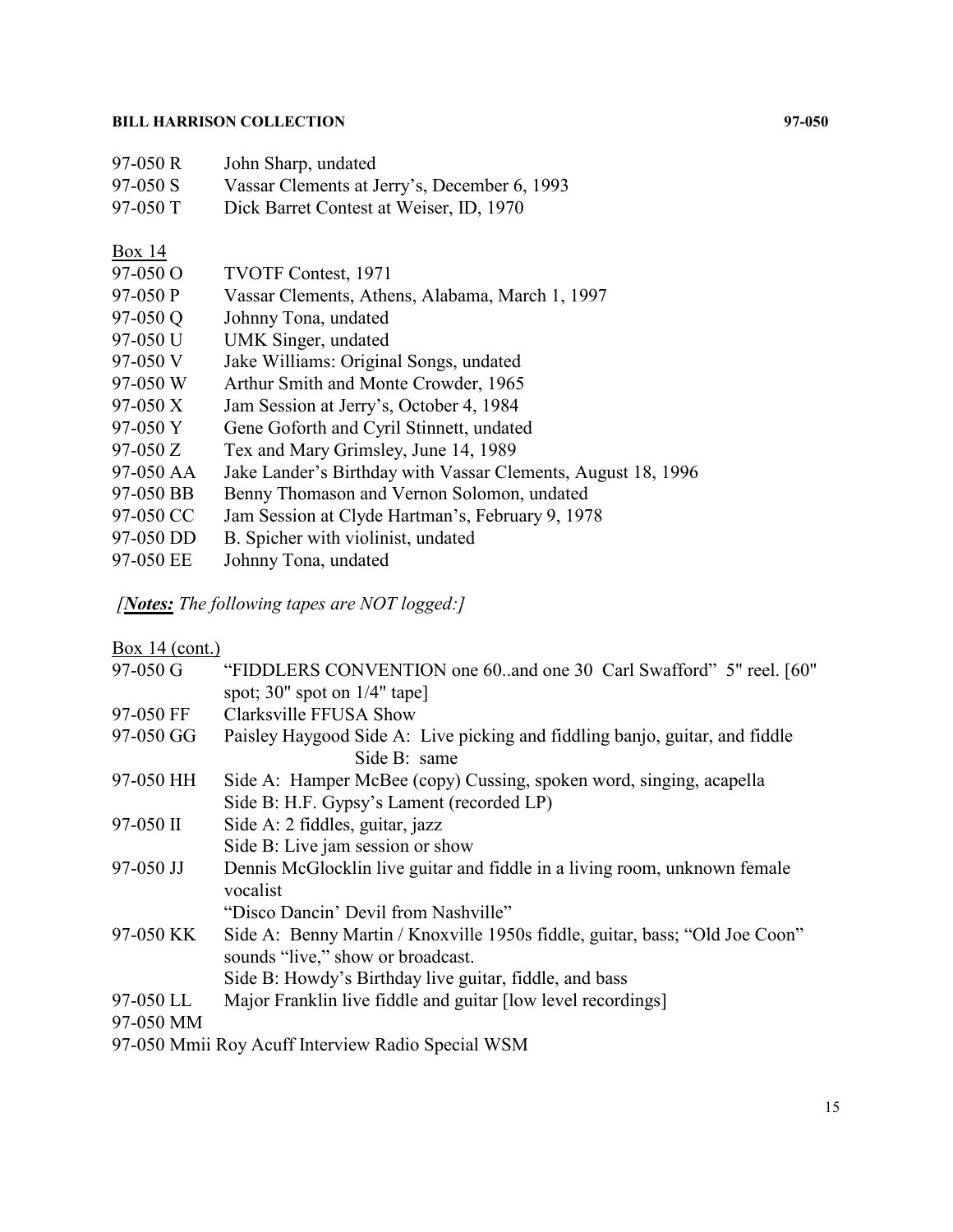| $97-050R$  | John Sharp, undated                          |
|------------|----------------------------------------------|
| $97-050$ S | Vassar Clements at Jerry's, December 6, 1993 |
| $97-050$ T | Dick Barret Contest at Weiser, ID, 1970      |

## **Box 14**

| 97-050 O   | <b>TVOTF Contest, 1971</b>                                   |
|------------|--------------------------------------------------------------|
| 97-050 P   | Vassar Clements, Athens, Alabama, March 1, 1997              |
| 97-050 Q   | Johnny Tona, undated                                         |
| 97-050 U   | UMK Singer, undated                                          |
| 97-050 V   | Jake Williams: Original Songs, undated                       |
| 97-050 W   | Arthur Smith and Monte Crowder, 1965                         |
| $97-050 X$ | Jam Session at Jerry's, October 4, 1984                      |
| 97-050 Y   | Gene Goforth and Cyril Stinnett, undated                     |
| $97-050 Z$ | Tex and Mary Grimsley, June 14, 1989                         |
| 97-050 AA  | Jake Lander's Birthday with Vassar Clements, August 18, 1996 |
| 97-050 BB  | Benny Thomason and Vernon Solomon, undated                   |
| 97-050 CC  | Jam Session at Clyde Hartman's, February 9, 1978             |
| 97-050 DD  | B. Spicher with violinist, undated                           |
| 97-050 EE  | Johnny Tona, undated                                         |
|            |                                                              |

*[Notes: The following tapes are NOT logged:]*

| Box 14 $(cont.)$ |                                                                             |
|------------------|-----------------------------------------------------------------------------|
| $97-050$ G       | "FIDDLERS CONVENTION one 60. and one 30 Carl Swafford" 5" reel. [60"        |
|                  | spot; 30" spot on $1/4$ " tape]                                             |
| 97-050 FF        | Clarksville FFUSA Show                                                      |
| 97-050 GG        | Paisley Haygood Side A: Live picking and fiddling banjo, guitar, and fiddle |
|                  | Side B: same                                                                |
| 97-050 HH        | Side A: Hamper McBee (copy) Cussing, spoken word, singing, acapella         |
|                  | Side B: H.F. Gypsy's Lament (recorded LP)                                   |
| $97-050$ II      | Side A: 2 fiddles, guitar, jazz                                             |
|                  | Side B: Live jam session or show                                            |
| 97-050 JJ        | Dennis McGlocklin live guitar and fiddle in a living room, unknown female   |
|                  | vocalist                                                                    |
|                  | "Disco Dancin' Devil from Nashville"                                        |
| 97-050 KK        | Side A: Benny Martin / Knoxville 1950s fiddle, guitar, bass; "Old Joe Coon" |
|                  | sounds "live," show or broadcast.                                           |
|                  | Side B: Howdy's Birthday live guitar, fiddle, and bass                      |
| 97-050 LL        | Major Franklin live fiddle and guitar [low level recordings]                |
| 97-050 MM        |                                                                             |
|                  | 97-050 Mmii Roy Acuff Interview Radio Special WSM                           |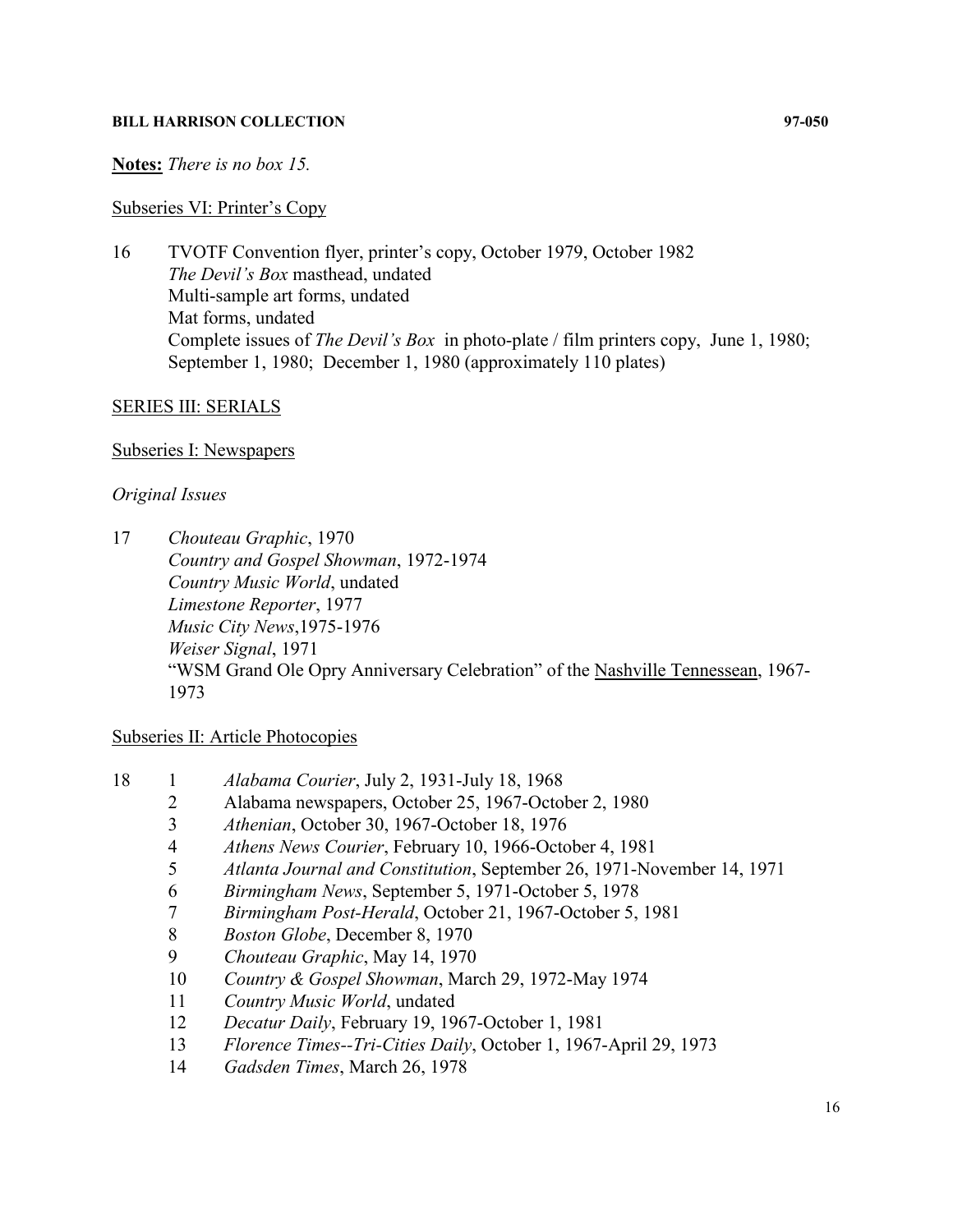## **Notes:** *There is no box 15.*

## Subseries VI: Printer's Copy

16 TVOTF Convention flyer, printer's copy, October 1979, October 1982 *The Devil's Box* masthead, undated Multi-sample art forms, undated Mat forms, undated Complete issues of *The Devil's Box* in photo-plate / film printers copy, June 1, 1980; September 1, 1980; December 1, 1980 (approximately 110 plates)

## SERIES III: SERIALS

## Subseries I: Newspapers

## *Original Issues*

17 *Chouteau Graphic*, 1970 *Country and Gospel Showman*, 1972-1974 *Country Music World*, undated *Limestone Reporter*, 1977 *Music City News*,1975-1976 *Weiser Signal*, 1971 "WSM Grand Ole Opry Anniversary Celebration" of the Nashville Tennessean, 1967- 1973

## Subseries II: Article Photocopies

- 18 1 *Alabama Courier*, July 2, 1931-July 18, 1968
	- 2 Alabama newspapers, October 25, 1967-October 2, 1980
	- 3 *Athenian*, October 30, 1967-October 18, 1976
	- 4 *Athens News Courier*, February 10, 1966-October 4, 1981
	- 5 *Atlanta Journal and Constitution*, September 26, 1971-November 14, 1971
	- 6 *Birmingham News*, September 5, 1971-October 5, 1978
	- 7 *Birmingham Post-Herald*, October 21, 1967-October 5, 1981
	- 8 *Boston Globe*, December 8, 1970
	- 9 *Chouteau Graphic*, May 14, 1970
	- 10 *Country & Gospel Showman*, March 29, 1972-May 1974
	- 11 *Country Music World*, undated
	- 12 *Decatur Daily*, February 19, 1967-October 1, 1981
	- 13 *Florence Times--Tri-Cities Daily*, October 1, 1967-April 29, 1973
	- 14 *Gadsden Times*, March 26, 1978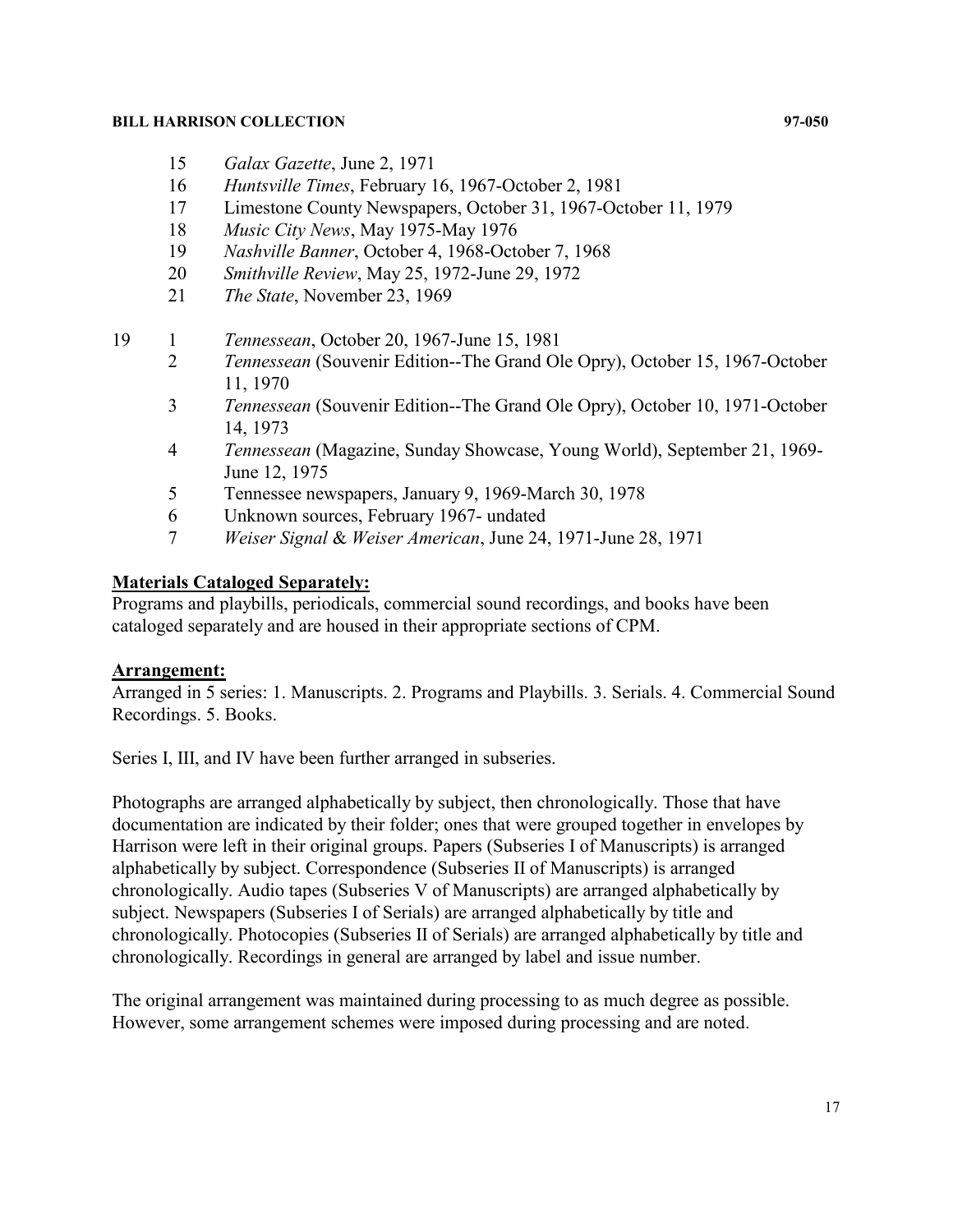- 15 *Galax Gazette*, June 2, 1971
- 16 *Huntsville Times*, February 16, 1967-October 2, 1981
- 17 Limestone County Newspapers, October 31, 1967-October 11, 1979
- 18 *Music City News*, May 1975-May 1976
- 19 *Nashville Banner*, October 4, 1968-October 7, 1968
- 20 *Smithville Review*, May 25, 1972-June 29, 1972
- 21 *The State*, November 23, 1969
- 19 1 *Tennessean*, October 20, 1967-June 15, 1981<br>2 *Tennessean* (Souvenir Edition--The Grand O)
	- 2 *Tennessean* (Souvenir Edition--The Grand Ole Opry), October 15, 1967-October 11, 1970
	- 3 *Tennessean* (Souvenir Edition--The Grand Ole Opry), October 10, 1971-October 14, 1973
	- 4 *Tennessean* (Magazine, Sunday Showcase, Young World), September 21, 1969- June 12, 1975
	- 5 Tennessee newspapers, January 9, 1969-March 30, 1978
	- 6 Unknown sources, February 1967- undated
	- 7 *Weiser Signal* & *Weiser American*, June 24, 1971-June 28, 1971

## **Materials Cataloged Separately:**

Programs and playbills, periodicals, commercial sound recordings, and books have been cataloged separately and are housed in their appropriate sections of CPM.

## **Arrangement:**

Arranged in 5 series: 1. Manuscripts. 2. Programs and Playbills. 3. Serials. 4. Commercial Sound Recordings. 5. Books.

Series I, III, and IV have been further arranged in subseries.

Photographs are arranged alphabetically by subject, then chronologically. Those that have documentation are indicated by their folder; ones that were grouped together in envelopes by Harrison were left in their original groups. Papers (Subseries I of Manuscripts) is arranged alphabetically by subject. Correspondence (Subseries II of Manuscripts) is arranged chronologically. Audio tapes (Subseries V of Manuscripts) are arranged alphabetically by subject. Newspapers (Subseries I of Serials) are arranged alphabetically by title and chronologically. Photocopies (Subseries II of Serials) are arranged alphabetically by title and chronologically. Recordings in general are arranged by label and issue number.

The original arrangement was maintained during processing to as much degree as possible. However, some arrangement schemes were imposed during processing and are noted.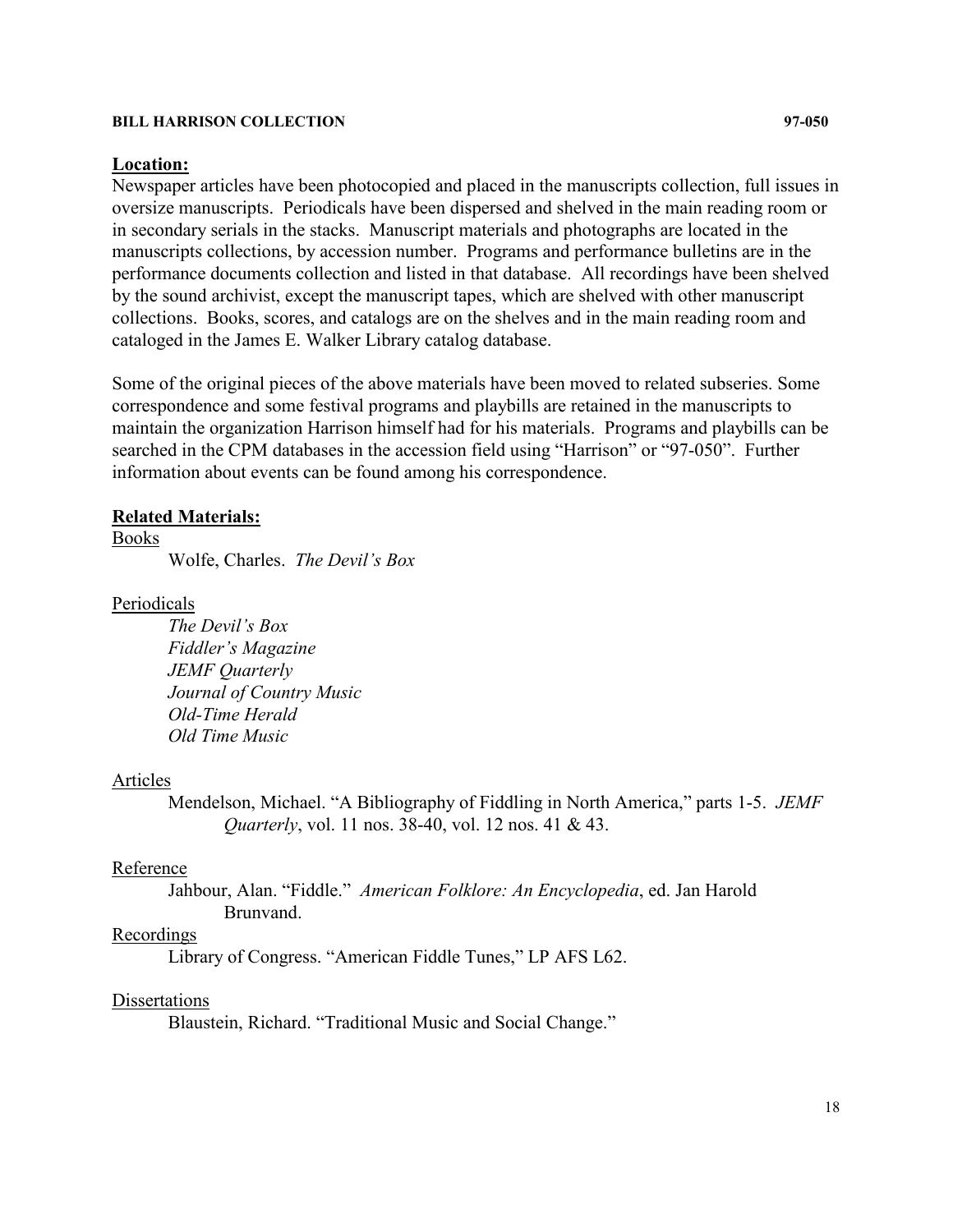#### **Location:**

Newspaper articles have been photocopied and placed in the manuscripts collection, full issues in oversize manuscripts. Periodicals have been dispersed and shelved in the main reading room or in secondary serials in the stacks. Manuscript materials and photographs are located in the manuscripts collections, by accession number. Programs and performance bulletins are in the performance documents collection and listed in that database. All recordings have been shelved by the sound archivist, except the manuscript tapes, which are shelved with other manuscript collections. Books, scores, and catalogs are on the shelves and in the main reading room and cataloged in the James E. Walker Library catalog database.

Some of the original pieces of the above materials have been moved to related subseries. Some correspondence and some festival programs and playbills are retained in the manuscripts to maintain the organization Harrison himself had for his materials. Programs and playbills can be searched in the CPM databases in the accession field using "Harrison" or "97-050". Further information about events can be found among his correspondence.

#### **Related Materials:**

Books

Wolfe, Charles. *The Devil's Box*

Periodicals

*The Devil's Box Fiddler's Magazine JEMF Quarterly Journal of Country Music Old-Time Herald Old Time Music*

#### Articles

Mendelson, Michael. "A Bibliography of Fiddling in North America," parts 1-5. *JEMF Quarterly*, vol. 11 nos. 38-40, vol. 12 nos. 41 & 43.

## Reference

Jahbour, Alan. "Fiddle." *American Folklore: An Encyclopedia*, ed. Jan Harold Brunvand.

## Recordings

Library of Congress. "American Fiddle Tunes," LP AFS L62.

## **Dissertations**

Blaustein, Richard. "Traditional Music and Social Change."